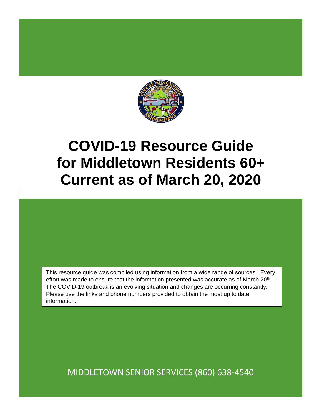

# **COVID-19 Resource Guide for Middletown Residents 60+ Current as of March 20, 2020**

This resource guide was compiled using information from a wide range of sources. Every effort was made to ensure that the information presented was accurate as of March  $20<sup>th</sup>$ . The COVID-19 outbreak is an evolving situation and changes are occurring constantly. Please use the links and phone numbers provided to obtain the most up to date information.

MIDDLETOWN SENIOR SERVICES (860) 638-4540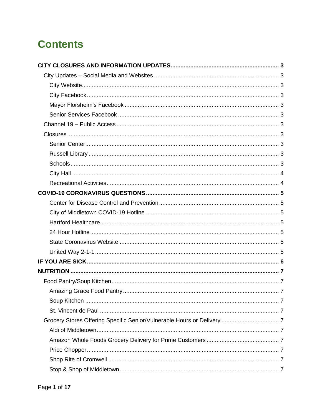## **Contents**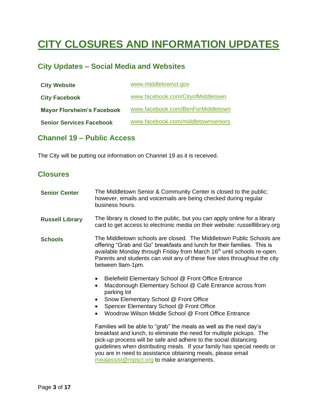## <span id="page-3-0"></span>**CITY CLOSURES AND INFORMATION UPDATES**

### <span id="page-3-1"></span>**City Updates – Social Media and Websites**

<span id="page-3-4"></span><span id="page-3-3"></span><span id="page-3-2"></span>

| <b>City Website</b>               | www.middletownct.gov               |
|-----------------------------------|------------------------------------|
| <b>City Facebook</b>              | www.facebook.com/CityofMiddletown  |
| <b>Mayor Florsheim's Facebook</b> | www.facebook.com/BenForMiddletown  |
| <b>Senior Services Facebook</b>   | www.facebook.com/middletownseniors |

### <span id="page-3-6"></span><span id="page-3-5"></span>**Channel 19 – Public Access**

The City will be putting out information on Channel 19 as it is received.

### <span id="page-3-7"></span>**Closures**

<span id="page-3-10"></span><span id="page-3-9"></span><span id="page-3-8"></span>

| <b>Senior Center</b>   | The Middletown Senior & Community Center is closed to the public;<br>however, emails and voicemails are being checked during regular<br>business hours.                                                                                                                                                                                                                                                 |  |
|------------------------|---------------------------------------------------------------------------------------------------------------------------------------------------------------------------------------------------------------------------------------------------------------------------------------------------------------------------------------------------------------------------------------------------------|--|
| <b>Russell Library</b> | The library is closed to the public, but you can apply online for a library<br>card to get access to electronic media on their website: russelllibrary.org                                                                                                                                                                                                                                              |  |
| <b>Schools</b>         | The Middletown schools are closed. The Middletown Public Schools are<br>offering "Grab and Go" breakfasts and lunch for their families. This is<br>available Monday through Friday from March 16 <sup>th</sup> until schools re-open.<br>Parents and students can visit any of these five sites throughout the city<br>between 9am-1pm.                                                                 |  |
|                        | Bielefield Elementary School @ Front Office Entrance<br>$\bullet$<br>Macdonough Elementary School @ Café Entrance across from<br>$\bullet$<br>parking lot<br>Snow Elementary School @ Front Office<br>Spencer Elementary School @ Front Office<br>Woodrow Wilson Middle School @ Front Office Entrance                                                                                                  |  |
|                        | Families will be able to "grab" the meals as well as the next day's<br>breakfast and lunch, to eliminate the need for multiple pickups. The<br>pick-up process will be safe and adhere to the social distancing<br>guidelines when distributing meals. If your family has special needs or<br>you are in need to assistance obtaining meals, please email<br>mealassist@mpsct.org to make arrangements. |  |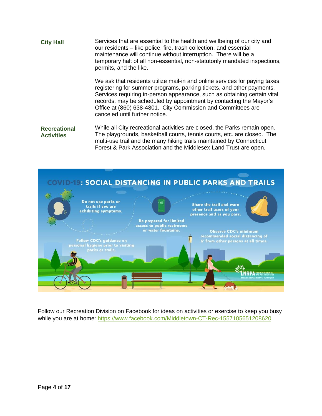<span id="page-4-0"></span>**City Hall** Services that are essential to the health and wellbeing of our city and our residents – like police, fire, trash collection, and essential maintenance will continue without interruption. There will be a temporary halt of all non-essential, non-statutorily mandated inspections, permits, and the like.

> We ask that residents utilize mail-in and online services for paying taxes, registering for summer programs, parking tickets, and other payments. Services requiring in-person appearance, such as obtaining certain vital records, may be scheduled by appointment by contacting the Mayor's Office at (860) 638-4801. City Commission and Committees are canceled until further notice.

<span id="page-4-1"></span>**Recreational Activities** While all City recreational activities are closed, the Parks remain open. The playgrounds, basketball courts, tennis courts, etc. are closed. The multi-use trail and the many hiking trails maintained by Connecticut Forest & Park Association and the Middlesex Land Trust are open.



Follow our Recreation Division on Facebook for ideas on activities or exercise to keep you busy while you are at home:<https://www.facebook.com/Middletown-CT-Rec-1557105651208620>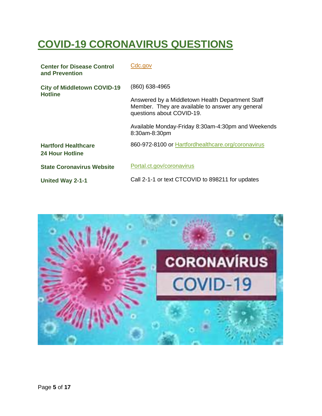## <span id="page-5-0"></span>**COVID-19 CORONAVIRUS QUESTIONS**

<span id="page-5-2"></span><span id="page-5-1"></span>

| <b>Center for Disease Control</b><br>and Prevention | Cdc.gov                                                                                                                           |
|-----------------------------------------------------|-----------------------------------------------------------------------------------------------------------------------------------|
| <b>City of Middletown COVID-19</b>                  | (860) 638-4965                                                                                                                    |
| <b>Hotline</b>                                      | Answered by a Middletown Health Department Staff<br>Member. They are available to answer any general<br>questions about COVID-19. |
|                                                     | Available Monday-Friday 8:30am-4:30pm and Weekends<br>8:30am-8:30pm                                                               |
| <b>Hartford Healthcare</b><br>24 Hour Hotline       | 860-972-8100 or Hartfordhealthcare.org/coronavirus                                                                                |
| <b>State Coronavirus Website</b>                    | Portal.ct.gov/coronavirus                                                                                                         |
| <b>United Way 2-1-1</b>                             | Call 2-1-1 or text CTCOVID to 898211 for updates                                                                                  |

<span id="page-5-6"></span><span id="page-5-5"></span><span id="page-5-4"></span><span id="page-5-3"></span>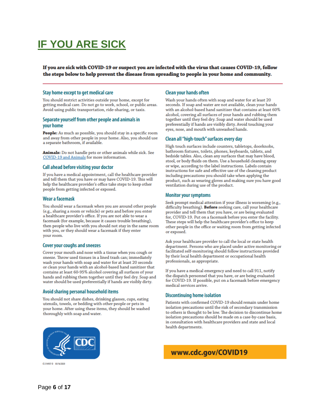## <span id="page-6-0"></span>**IF YOU ARE SICK**

If you are sick with COVID-19 or suspect you are infected with the virus that causes COVID-19, follow the steps below to help prevent the disease from spreading to people in your home and community.

#### Stay home except to get medical care

You should restrict activities outside your home, except for getting medical care. Do not go to work, school, or public areas. Avoid using public transportation, ride-sharing, or taxis.

#### Separate yourself from other people and animals in vour home

People: As much as possible, you should stay in a specific room and away from other people in your home. Also, you should use a separate bathroom, if available.

Animals: Do not handle pets or other animals while sick. See COVID-19 and Animals for more information.

#### Call ahead before visiting your doctor

If you have a medical appointment, call the healthcare provider and tell them that you have or may have COVID-19. This will help the healthcare provider's office take steps to keep other people from getting infected or exposed.

#### Wear a facemask

You should wear a facemask when you are around other people (e.g., sharing a room or vehicle) or pets and before you enter a healthcare provider's office. If you are not able to wear a facemask (for example, because it causes trouble breathing), then people who live with you should not stay in the same room with you, or they should wear a facemask if they enter your room.

#### **Cover your coughs and sneezes**

Cover your mouth and nose with a tissue when you cough or sneeze. Throw used tissues in a lined trash can; immediately wash your hands with soap and water for at least 20 seconds or clean your hands with an alcohol-based hand sanitizer that contains at least 60-95% alcohol covering all surfaces of your hands and rubbing them together until they feel dry. Soap and water should be used preferentially if hands are visibly dirty.

#### Avoid sharing personal household items

You should not share dishes, drinking glasses, cups, eating utensils, towels, or bedding with other people or pets in your home. After using these items, they should be washed thoroughly with soap and water.

#### **Clean your hands often**

Wash your hands often with soap and water for at least 20 seconds. If soap and water are not available, clean your hands with an alcohol-based hand sanitizer that contains at least 60% alcohol, covering all surfaces of your hands and rubbing them together until they feel dry. Soap and water should be used preferentially if hands are visibly dirty. Avoid touching your eyes, nose, and mouth with unwashed hands.

#### Clean all "high-touch" surfaces every day

High touch surfaces include counters, tabletops, doorknobs, bathroom fixtures, toilets, phones, keyboards, tablets, and bedside tables. Also, clean any surfaces that may have blood, stool, or body fluids on them. Use a household cleaning spray or wipe, according to the label instructions. Labels contain instructions for safe and effective use of the cleaning product including precautions you should take when applying the product, such as wearing gloves and making sure you have good ventilation during use of the product.

#### **Monitor your symptoms**

Seek prompt medical attention if your illness is worsening (e.g., difficulty breathing). Before seeking care, call your healthcare provider and tell them that you have, or are being evaluated for, COVID-19. Put on a facemask before you enter the facility. These steps will help the healthcare provider's office to keep other people in the office or waiting room from getting infected or exposed.

Ask your healthcare provider to call the local or state health department. Persons who are placed under active monitoring or facilitated self-monitoring should follow instructions provided by their local health department or occupational health professionals, as appropriate.

If you have a medical emergency and need to call 911, notify the dispatch personnel that you have, or are being evaluated for COVID-19. If possible, put on a facemask before emergency medical services arrive.

#### **Discontinuing home isolation**

Patients with confirmed COVID-19 should remain under home isolation precautions until the risk of secondary transmission to others is thought to be low. The decision to discontinue home isolation precautions should be made on a case-by-case basis, in consultation with healthcare providers and state and local health departments.



www.cdc.gov/COVID19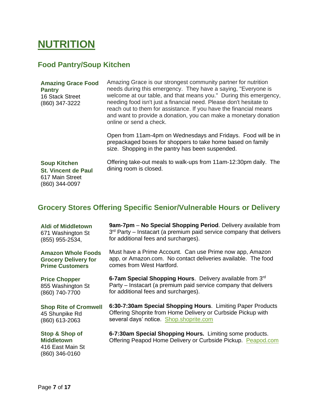### <span id="page-7-0"></span>**NUTRITION**

### <span id="page-7-1"></span>**Food Pantry/Soup Kitchen**

<span id="page-7-2"></span>

| <b>Amazing Grace Food</b><br><b>Pantry</b><br>16 Stack Street<br>(860) 347-3222        | Amazing Grace is our strongest community partner for nutrition<br>needs during this emergency. They have a saying, "Everyone is<br>welcome at our table, and that means you." During this emergency,<br>needing food isn't just a financial need. Please don't hesitate to<br>reach out to them for assistance. If you have the financial means<br>and want to provide a donation, you can make a monetary donation<br>online or send a check. |  |
|----------------------------------------------------------------------------------------|------------------------------------------------------------------------------------------------------------------------------------------------------------------------------------------------------------------------------------------------------------------------------------------------------------------------------------------------------------------------------------------------------------------------------------------------|--|
|                                                                                        | Open from 11am-4pm on Wednesdays and Fridays. Food will be in<br>prepackaged boxes for shoppers to take home based on family<br>size. Shopping in the pantry has been suspended.                                                                                                                                                                                                                                                               |  |
| <b>Soup Kitchen</b><br><b>St. Vincent de Paul</b><br>617 Main Street<br>(860) 344-0097 | Offering take-out meals to walk-ups from 11am-12:30pm daily. The<br>dining room is closed.                                                                                                                                                                                                                                                                                                                                                     |  |

### <span id="page-7-5"></span><span id="page-7-4"></span><span id="page-7-3"></span>**Grocery Stores Offering Specific Senior/Vulnerable Hours or Delivery**

<span id="page-7-10"></span><span id="page-7-9"></span><span id="page-7-8"></span><span id="page-7-7"></span><span id="page-7-6"></span>

| <b>Aldi of Middletown</b>                                                 | 9am-7pm - No Special Shopping Period. Delivery available from                                                            |
|---------------------------------------------------------------------------|--------------------------------------------------------------------------------------------------------------------------|
| 671 Washington St                                                         | 3 <sup>rd</sup> Party – Instacart (a premium paid service company that delivers                                          |
| (855) 955-2534,                                                           | for additional fees and surcharges).                                                                                     |
| <b>Amazon Whole Foods</b>                                                 | Must have a Prime Account. Can use Prime now app, Amazon                                                                 |
| <b>Grocery Delivery for</b>                                               | app, or Amazon.com. No contact deliveries available. The food                                                            |
| <b>Prime Customers</b>                                                    | comes from West Hartford.                                                                                                |
| <b>Price Chopper</b>                                                      | 6-7am Special Shopping Hours. Delivery available from 3rd                                                                |
| 855 Washington St                                                         | Party – Instacart (a premium paid service company that delivers                                                          |
| (860) 740-7700                                                            | for additional fees and surcharges).                                                                                     |
| <b>Shop Rite of Cromwell</b>                                              | 6:30-7:30am Special Shopping Hours. Limiting Paper Products                                                              |
| 45 Shunpike Rd                                                            | Offering Shoprite from Home Delivery or Curbside Pickup with                                                             |
| (860) 613-2063                                                            | several days' notice. Shop.shoprite.com                                                                                  |
| Stop & Shop of<br><b>Middletown</b><br>416 East Main St<br>(860) 346-0160 | 6-7:30am Special Shopping Hours. Limiting some products.<br>Offering Peapod Home Delivery or Curbside Pickup. Peapod.com |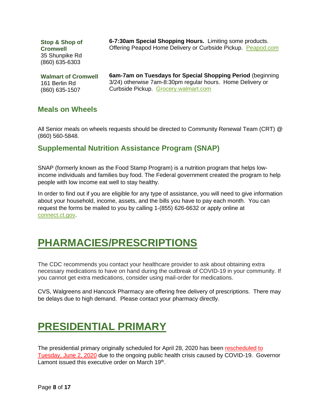<span id="page-8-0"></span>**Stop & Shop of Cromwell** 35 Shunpike Rd (860) 635-6303

**6-7:30am Special Shopping Hours.** Limiting some products. Offering Peapod Home Delivery or Curbside Pickup. [Peapod.com](http://www.peapod.com/)

<span id="page-8-1"></span>**Walmart of Cromwell**  161 Berlin Rd (860) 635-1507

**6am-7am on Tuesdays for Special Shopping Period** (beginning 3/24) otherwise 7am-8:30pm regular hours. Home Delivery or Curbside Pickup. [Grocery.walmart.com](https://grocery.walmart.com/)

### <span id="page-8-2"></span>**Meals on Wheels**

All Senior meals on wheels requests should be directed to Community Renewal Team (CRT) @ (860) 560-5848.

### <span id="page-8-3"></span>**Supplemental Nutrition Assistance Program (SNAP)**

SNAP (formerly known as the Food Stamp Program) is a nutrition program that helps lowincome individuals and families buy food. The Federal government created the program to help people with low income eat well to stay healthy.

In order to find out if you are eligible for any type of assistance, you will need to give information about your household, income, assets, and the bills you have to pay each month. You can request the forms be mailed to you by calling 1-(855) 626-6632 or apply online at [connect.ct.gov.](https://www.connect.ct.gov/)

### <span id="page-8-4"></span>**PHARMACIES/PRESCRIPTIONS**

The CDC recommends you contact your healthcare provider to ask about obtaining extra necessary medications to have on hand during the outbreak of COVID-19 in your community. If you cannot get extra medications, consider using mail-order for medications.

CVS, Walgreens and Hancock Pharmacy are offering free delivery of prescriptions. There may be delays due to high demand. Please contact your pharmacy directly.

## <span id="page-8-5"></span>**PRESIDENTIAL PRIMARY**

The presidential primary originally scheduled for April 28, 2020 has been rescheduled to Tuesday, June 2, 2020 due to the ongoing public health crisis caused by COVID-19. Governor Lamont issued this executive order on March 19<sup>th</sup>.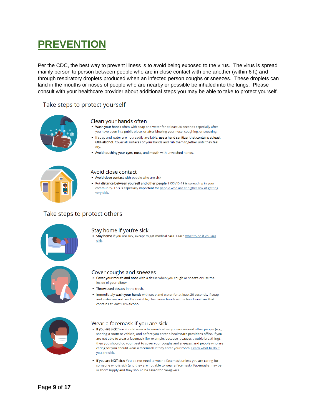## <span id="page-9-0"></span>**PREVENTION**

Per the CDC, the best way to prevent illness is to avoid being exposed to the virus. The virus is spread mainly person to person between people who are in close contact with one another (within 6 ft) and through respiratory droplets produced when an infected person coughs or sneezes. These droplets can land in the mouths or noses of people who are nearby or possible be inhaled into the lungs. Please consult with your healthcare provider about additional steps you may be able to take to protect yourself.

#### Take steps to protect yourself



#### Clean your hands often

- . Wash your hands often with soap and water for at least 20 seconds especially after you have been in a public place, or after blowing your nose, coughing, or sneezing.
- . If soap and water are not readily available, use a hand sanitizer that contains at least 60% alcohol. Cover all surfaces of your hands and rub them together until they feel dry.
- . Avoid touching your eyes, nose, and mouth with unwashed hands.



#### Avoid close contact

- . Avoid close contact with people who are sick
- Put distance between yourself and other people if COVID-19 is spreading in your community. This is especially important for people who are at higher risk of getting very sick.

#### Take steps to protect others



#### Stay home if you're sick

. Stay home if you are sick, except to get medical care. Learn what to do if you are sick.



#### Cover coughs and sneezes

- . Cover your mouth and nose with a tissue when you cough or sneeze or use the inside of your elbow.
- Throw used tissues in the trash.
- . Immediately wash your hands with soap and water for at least 20 seconds. If soap and water are not readily available, clean your hands with a hand sanitizer that contains at least 60% alcohol.



#### Wear a facemask if you are sick

- . If you are sick: You should wear a facemask when you are around other people (e.g., sharing a room or vehicle) and before you enter a healthcare provider's office. If you are not able to wear a facemask (for example, because it causes trouble breathing), then you should do your best to cover your coughs and sneezes, and people who are caring for you should wear a facemask if they enter your room. Learn what to do if vou are sick.
- . If you are NOT sick: You do not need to wear a facemask unless you are caring for someone who is sick (and they are not able to wear a facemask). Facemasks may be in short supply and they should be saved for caregivers.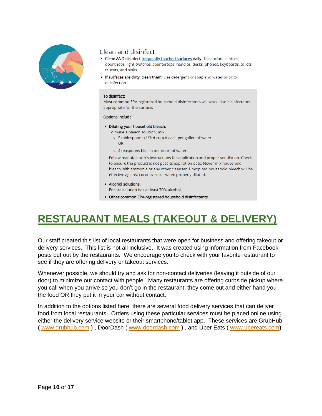

### Clean and disinfect

- Clean AND disinfect frequently touched surfaces daily. This includes tables, doorknobs, light switches, countertops, handles, desks, phones, keyboards, toilets, faucets, and sinks.
- . If surfaces are dirty, clean them: Use detergent or soap and water prior to disinfection.

#### To disinfect:

Most common EPA-registered household disinfectants will work. Use disinfectants appropriate for the surface.

#### **Options include:**

- · Diluting your household bleach.
	- To make a bleach solution, mix:
		- o 5 tablespoons (1/3rd cup) bleach per gallon of water **OR**
		- o 4 teaspoons bleach per quart of water

Follow manufacturer's instructions for application and proper ventilation. Check to ensure the product is not past its expiration date. Never mix household bleach with ammonia or any other cleanser. Unexpired household bleach will be effective against coronaviruses when properly diluted.

• Alcohol solutions.

Ensure solution has at least 70% alcohol.

• Other common EPA-registered household disinfectants.

## <span id="page-10-0"></span>**RESTAURANT MEALS (TAKEOUT & DELIVERY)**

Our staff created this list of local restaurants that were open for business and offering takeout or delivery services. This list is not all inclusive. It was created using information from Facebook posts put out by the restaurants. We encourage you to check with your favorite restaurant to see if they are offering delivery or takeout services.

Whenever possible, we should try and ask for non-contact deliveries (leaving it outside of our door) to minimize our contact with people. Many restaurants are offering curbside pickup where you call when you arrive so you don't go in the restaurant, they come out and either hand you the food OR they put it in your car without contact.

In addition to the options listed here, there are several food delivery services that can deliver food from local restaurants. Orders using these particular services must be placed online using either the delivery service website or their smartphone/tablet app. These services are GrubHub ( [www.grubhub.com](http://www.grubhub.com/) ) , DoorDash ( [www.doordash.com](http://www.doordash.com/) ) , and Uber Eats ( [www.ubereats.com\)](https://www.ubereats.com/).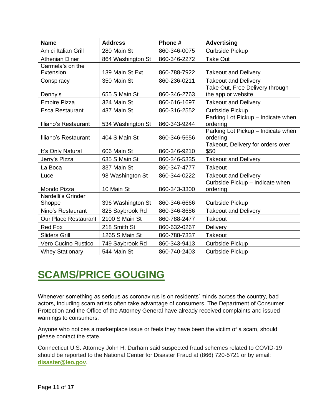| <b>Name</b>                   | <b>Address</b>    | Phone #      | <b>Advertising</b>                                    |
|-------------------------------|-------------------|--------------|-------------------------------------------------------|
| Amici Italian Grill           | 280 Main St       | 860-346-0075 | Curbside Pickup                                       |
| <b>Athenian Diner</b>         | 864 Washington St | 860-346-2272 | <b>Take Out</b>                                       |
| Carmela's on the<br>Extension | 139 Main St Ext   | 860-788-7922 | <b>Takeout and Delivery</b>                           |
| Conspiracy                    | 350 Main St       | 860-236-0211 | <b>Takeout and Delivery</b>                           |
| Denny's                       | 655 S Main St     | 860-346-2763 | Take Out, Free Delivery through<br>the app or website |
| <b>Empire Pizza</b>           | 324 Main St       | 860-616-1697 | <b>Takeout and Delivery</b>                           |
| <b>Esca Restaurant</b>        | 437 Main St       | 860-316-2552 | <b>Curbside Pickup</b>                                |
| Illiano's Restaurant          | 534 Washington St | 860-343-9244 | Parking Lot Pickup - Indicate when<br>ordering        |
| Illiano's Restaurant          | 404 S Main St     | 860-346-5656 | Parking Lot Pickup - Indicate when<br>ordering        |
| It's Only Natural             | 606 Main St       | 860-346-9210 | Takeout, Delivery for orders over<br>\$50             |
| Jerry's Pizza                 | 635 S Main St     | 860-346-5335 | <b>Takeout and Delivery</b>                           |
| La Boca                       | 337 Main St       | 860-347-4777 | <b>Takeout</b>                                        |
| Luce                          | 98 Washington St  | 860-344-0222 | <b>Takeout and Delivery</b>                           |
| Mondo Pizza                   | 10 Main St        | 860-343-3300 | Curbside Pickup - Indicate when<br>ordering           |
| Nardelli's Grinder<br>Shoppe  | 396 Washington St | 860-346-6666 | <b>Curbside Pickup</b>                                |
| Nino's Restaurant             | 825 Saybrook Rd   | 860-346-8686 | <b>Takeout and Delivery</b>                           |
| <b>Our Place Restaurant</b>   | 2100 S Main St    | 860-788-2477 | <b>Takeout</b>                                        |
| <b>Red Fox</b>                | 218 Smith St      | 860-632-0267 | <b>Delivery</b>                                       |
| <b>Sliders Grill</b>          | 1265 S Main St    | 860-788-7337 | <b>Takeout</b>                                        |
| Vero Cucino Rustico           | 749 Saybrook Rd   | 860-343-9413 | <b>Curbside Pickup</b>                                |
| <b>Whey Stationary</b>        | 544 Main St       | 860-740-2403 | <b>Curbside Pickup</b>                                |

## <span id="page-11-0"></span>**SCAMS/PRICE GOUGING**

Whenever something as serious as coronavirus is on residents' minds across the country, bad actors, including scam artists often take advantage of consumers. The Department of Consumer Protection and the Office of the Attorney General have already received complaints and issued warnings to consumers.

Anyone who notices a marketplace issue or feels they have been the victim of a scam, should please contact the state.

Connecticut U.S. Attorney John H. Durham said suspected fraud schemes related to COVID-19 should be reported to the National Center for Disaster Fraud at (866) 720-5721 or by email: **[disaster@leo.gov](mailto:disaster@leo.gov)**.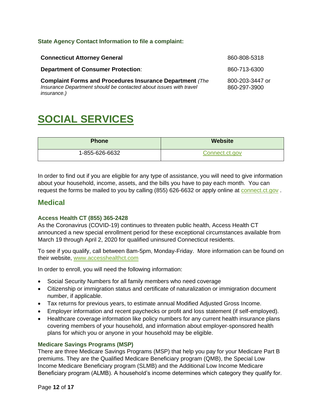#### <span id="page-12-0"></span>**State Agency Contact Information to file a complaint:**

| <b>Connecticut Attorney General</b>                                                                                                                        | 860-808-5318                    |
|------------------------------------------------------------------------------------------------------------------------------------------------------------|---------------------------------|
| <b>Department of Consumer Protection:</b>                                                                                                                  | 860-713-6300                    |
| <b>Complaint Forms and Procedures Insurance Department (The</b><br>Insurance Department should be contacted about issues with travel<br><i>insurance.)</i> | 800-203-3447 or<br>860-297-3900 |

### <span id="page-12-1"></span>**SOCIAL SERVICES**

| <b>Phone</b>   | <b>Website</b> |
|----------------|----------------|
| 1-855-626-6632 | Connect.ct.gov |

In order to find out if you are eligible for any type of assistance, you will need to give information about your household, income, assets, and the bills you have to pay each month. You can request the forms be mailed to you by calling (855) 626-6632 or apply online at [connect.ct.gov](https://www.connect.ct.gov/).

### <span id="page-12-2"></span>**Medical**

#### <span id="page-12-3"></span>**Access Health CT (855) 365-2428**

As the Coronavirus (COVID-19) continues to threaten public health, Access Health CT announced a new special enrollment period for these exceptional circumstances available from March 19 through April 2, 2020 for qualified uninsured Connecticut residents.

To see if you qualify, call between 8am-5pm, Monday-Friday. More information can be found on their website, [www.accesshealthct.com](http://www.accesshealthct.com/)

In order to enroll, you will need the following information:

- Social Security Numbers for all family members who need coverage
- Citizenship or immigration status and certificate of naturalization or immigration document number, if applicable.
- Tax returns for previous years, to estimate annual Modified Adjusted Gross Income.
- Employer information and recent paychecks or profit and loss statement (if self-employed).
- Healthcare coverage information like policy numbers for any current health insurance plans covering members of your household, and information about employer-sponsored health plans for which you or anyone in your household may be eligible.

#### <span id="page-12-4"></span>**Medicare Savings Programs (MSP)**

There are three Medicare Savings Programs (MSP) that help you pay for your Medicare Part B premiums. They are the Qualified Medicare Beneficiary program (QMB), the Special Low Income Medicare Beneficiary program (SLMB) and the Additional Low Income Medicare Beneficiary program (ALMB). A household's income determines which category they qualify for.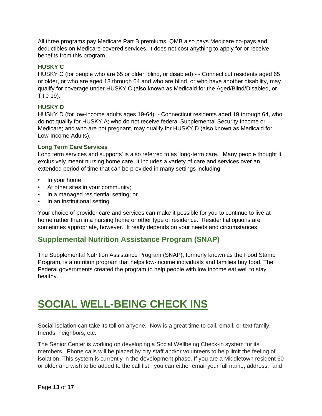All three programs pay Medicare Part B premiums. QMB also pays Medicare co-pays and deductibles on Medicare-covered services. It does not cost anything to apply for or receive benefits from this program.

#### <span id="page-13-0"></span>**HUSKY C**

HUSKY C (for people who are 65 or older, blind, or disabled) - - Connecticut residents aged 65 or older, or who are aged 18 through 64 and who are blind, or who have another disability, may qualify for coverage under HUSKY C (also known as Medicaid for the Aged/Blind/Disabled, or Title 19).

#### <span id="page-13-1"></span>**HUSKY D**

HUSKY D (for low-income adults ages 19-64) - Connecticut residents aged 19 through 64, who do not qualify for HUSKY A; who do not receive federal Supplemental Security Income or Medicare; and who are not pregnant, may qualify for HUSKY D (also known as Medicaid for Low-Income Adults).

#### <span id="page-13-2"></span>**Long Term Care Services**

Long term services and supports' is also referred to as 'long-term care.' Many people thought it exclusively meant nursing home care. It includes a variety of care and services over an extended period of time that can be provided in many settings including:

- In your home;
- At other sites in your community;
- In a managed residential setting; or
- In an institutional setting.

Your choice of provider care and services can make it possible for you to continue to live at home rather than in a nursing home or other type of residence. Residential options are sometimes appropriate, however. It really depends on your needs and circumstances.

### <span id="page-13-3"></span>**Supplemental Nutrition Assistance Program (SNAP)**

The Supplemental Nutrition Assistance Program (SNAP), formerly known as the Food Stamp Program, is a nutrition program that helps low-income individuals and families buy food. The Federal governments created the program to help people with low income eat well to stay healthy.

### <span id="page-13-4"></span>**SOCIAL WELL-BEING CHECK INS**

Social isolation can take its toll on anyone. Now is a great time to call, email, or text family, friends, neighbors, etc.

The Senior Center is working on developing a Social Wellbeing Check-in system for its members. Phone calls will be placed by city staff and/or volunteers to help limit the feeling of isolation. This system is currently in the development phase. If you are a Middletown resident 60 or older and wish to be added to the call list, you can either email your full name, address, and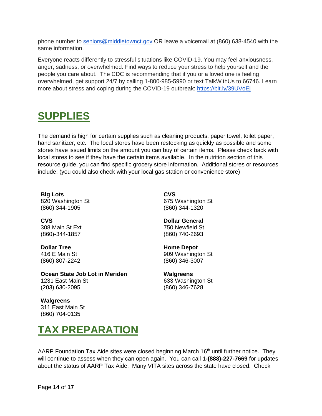phone number to [seniors@middletownct.gov](mailto:seniors@middletownct.gov) OR leave a voicemail at (860) 638-4540 with the same information.

Everyone reacts differently to stressful situations like COVID-19. You may feel anxiousness, anger, sadness, or overwhelmed. Find ways to reduce your stress to help yourself and the people you care about. The CDC is recommending that if you or a loved one is feeling overwhelmed, get support 24/7 by calling 1-800-985-5990 or text TalkWithUs to 66746. Learn more about stress and coping during the COVID-19 outbreak: <https://bit.ly/39UVoEj>

## <span id="page-14-0"></span>**SUPPLIES**

The demand is high for certain supplies such as cleaning products, paper towel, toilet paper, hand sanitizer, etc. The local stores have been restocking as quickly as possible and some stores have issued limits on the amount you can buy of certain items. Please check back with local stores to see if they have the certain items available. In the nutrition section of this resource guide, you can find specific grocery store information. Additional stores or resources include: (you could also check with your local gas station or convenience store)

**Big Lots** 820 Washington St (860) 344-1905

**CVS** 675 Washington St (860) 344-1320

**CVS** 308 Main St Ext (860)-344-1857

**Dollar Tree** 416 E Main St (860) 807-2242 **Dollar General**

750 Newfield St (860) 740-2693

**Home Depot** 909 Washington St (860) 346-3007

**Ocean State Job Lot in Meriden** 1231 East Main St (203) 630-2095

**Walgreens** 633 Washington St (860) 346-7628

**Walgreens** 311 East Main St (860) 704-0135

### <span id="page-14-1"></span>**TAX PREPARATION**

AARP Foundation Tax Aide sites were closed beginning March 16<sup>th</sup> until further notice. They will continue to assess when they can open again. You can call **1-(888)-227-7669** for updates about the status of AARP Tax Aide. Many VITA sites across the state have closed. Check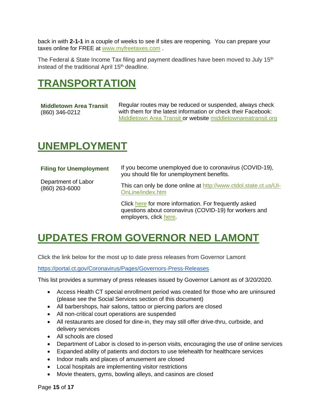back in with **2-1-1** in a couple of weeks to see if sites are reopening. You can prepare your taxes online for FREE at [www.myfreetaxes.com](http://www.myfreetaxes.com/) .

The Federal & State Income Tax filing and payment deadlines have been moved to July  $15<sup>th</sup>$ instead of the traditional April 15th deadline.

### <span id="page-15-0"></span>**TRANSPORTATION**

<span id="page-15-1"></span>**Middletown Area Transit** (860) 346-0212

Regular routes may be reduced or suspended, always check with them for the latest information or check their Facebook: [Middletown Area Transit](https://www.facebook.com/middletownareatransit/) or website [middletownareatransit.org](http://www.middletownareatransit.org/)

### <span id="page-15-2"></span>**UNEMPLOYMENT**

<span id="page-15-3"></span>

| <b>Filing for Unemployment</b>          | If you become unemployed due to coronavirus (COVID-19),<br>you should file for unemployment benefits.           |
|-----------------------------------------|-----------------------------------------------------------------------------------------------------------------|
| Department of Labor<br>$(860)$ 263-6000 | This can only be done online at http://www.ctdol.state.ct.us/UI-<br>OnLine/index.htm                            |
|                                         | Click here for more information. For frequently asked<br>questions about coronavirus (COVID-19) for workers and |

## <span id="page-15-4"></span>**UPDATES FROM GOVERNOR NED LAMONT**

employers, click [here.](http://www.ctdol.state.ct.us/DOLCOVIDFAQ.PDF)

Click the link below for the most up to date press releases from Governor Lamont

<https://portal.ct.gov/Coronavirus/Pages/Governors-Press-Releases>

This list provides a summary of press releases issued by Governor Lamont as of 3/20/2020.

- Access Health CT special enrollment period was created for those who are uninsured (please see the Social Services section of this document)
- All barbershops, hair salons, tattoo or piercing parlors are closed
- All non-critical court operations are suspended
- All restaurants are closed for dine-in, they may still offer drive-thru, curbside, and delivery services
- All schools are closed
- Department of Labor is closed to in-person visits, encouraging the use of online services
- Expanded ability of patients and doctors to use telehealth for healthcare services
- Indoor malls and places of amusement are closed
- Local hospitals are implementing visitor restrictions
- Movie theaters, gyms, bowling alleys, and casinos are closed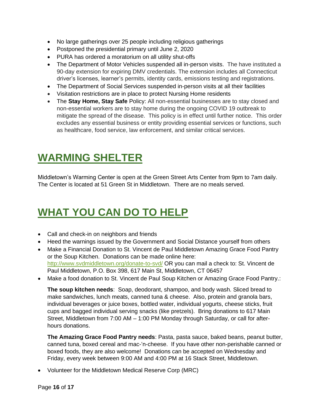- No large gatherings over 25 people including religious gatherings
- Postponed the presidential primary until June 2, 2020
- PURA has ordered a moratorium on all utility shut-offs
- The Department of Motor Vehicles suspended all in-person visits. The have instituted a 90-day extension for expiring DMV credentials. The extension includes all Connecticut driver's licenses, learner's permits, identity cards, emissions testing and registrations.
- The Department of Social Services suspended in-person visits at all their facilities
- Visitation restrictions are in place to protect Nursing Home residents
- The **Stay Home, Stay Safe** Policy: All non-essential businesses are to stay closed and non-essential workers are to stay home during the ongoing COVID 19 outbreak to mitigate the spread of the disease. This policy is in effect until further notice. This order excludes any essential business or entity providing essential services or functions, such as healthcare, food service, law enforcement, and similar critical services.

### <span id="page-16-0"></span>**WARMING SHELTER**

Middletown's Warming Center is open at the Green Street Arts Center from 9pm to 7am daily. The Center is located at 51 Green St in Middletown. There are no meals served.

### <span id="page-16-1"></span>**WHAT YOU CAN DO TO HELP**

- Call and check-in on neighbors and friends
- Heed the warnings issued by the Government and Social Distance yourself from others
- Make a Financial Donation to St. Vincent de Paul Middletown Amazing Grace Food Pantry or the Soup Kitchen. Donations can be made online here: <http://www.svdmiddletown.org/donate-to-svd/> OR you can mail a check to: St. Vincent de Paul Middletown, P.O. Box 398, 617 Main St, Middletown, CT 06457
- Make a food donation to St. Vincent de Paul Soup Kitchen or Amazing Grace Food Pantry.:

**The soup kitchen needs**: Soap, deodorant, shampoo, and body wash. Sliced bread to make sandwiches, lunch meats, canned tuna & cheese. Also, protein and granola bars, individual beverages or juice boxes, bottled water, individual yogurts, cheese sticks, fruit cups and bagged individual serving snacks (like pretzels). Bring donations to 617 Main Street, Middletown from 7:00 AM – 1:00 PM Monday through Saturday, or call for afterhours donations.

**The Amazing Grace Food Pantry needs**: Pasta, pasta sauce, baked beans, peanut butter, canned tuna, boxed cereal and mac-'n-cheese. If you have other non-perishable canned or boxed foods, they are also welcome! Donations can be accepted on Wednesday and Friday, every week between 9:00 AM and 4:00 PM at 16 Stack Street, Middletown.

• Volunteer for the Middletown Medical Reserve Corp (MRC)